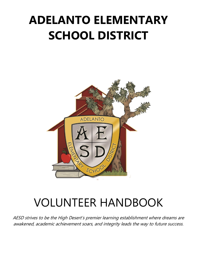# **ADELANTO ELEMENTARY SCHOOL DISTRICT**



# VOLUNTEER HANDBOOK

AESD strives to be the High Desert's premier learning establishment where dreams are awakened, academic achievement soars, and integrity leads the way to future success.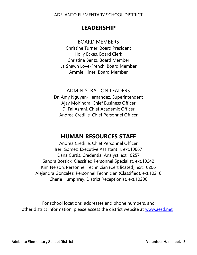# **LEADERSHIP**

## BOARD MEMBERS

Christine Turner, Board President Holly Eckes, Board Clerk Christina Bentz, Board Member La Shawn Love-French, Board Member Ammie Hines, Board Member

## ADMINISTRATION LEADERS

Dr. Amy Nguyen-Hernandez, Superintendent Ajay Mohindra, Chief Business Officer D. Fal Asrani, Chief Academic Officer Andrea Credille, Chief Personnel Officer

# **HUMAN RESOURCES STAFF**

Andrea Credille, Chief Personnel Officer Ireri Gomez, Executive Assistant II, ext.10667 Dana Curtis, Credential Analyst, ext.10257 Sandra Bostick, Classified Personnel Specialist, ext.10242 Kim Nelson, Personnel Technician (Certificated), ext.10206 Alejandra Gonzalez, Personnel Technician (Classified), ext.10216 Cherie Humphrey, District Receptionist, ext.10200

For school locations, addresses and phone numbers, and other district information, please access the district website at [www.aesd.net](http://www.aesd.net/)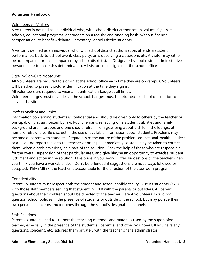#### **Volunteer Handbook**

#### Volunteers vs. Visitors

A volunteer is defined as an individual who, with school district authorization, voluntarily assists schools, educational programs, or students on a regular and ongoing basis, without financial compensation, to benefit Adelanto Elementary School District students.

A visitor is defined as an individual who, with school district authorization, attends a student performance, back-to-school event, class party, or is observing a classroom, etc. A visitor may either be accompanied or unaccompanied by school district staff. Designated school district administrative personnel are to make this determination. All visitors must sign-in at the school office.

#### Sign-In/Sign-Out Procedures

All Volunteers are required to sign-in at the school office each time they are on campus. Volunteers will be asked to present picture identification at the time they sign in.

All volunteers are required to wear an identification badge at all times.

Volunteer badges must never leave the school; badges must be returned to school office prior to leaving the site.

#### Professionalism and Ethics

Information concerning students is confidential and should be given only to others by the teacher or principal, only as authorized by law. Public remarks reflecting on a student's abilities and family background are improper; and one should refrain from gossiping about a child in the lounge, at home, or elsewhere. Be discreet in the use of available information about students. Problems may become apparent with students. Regardless of the nature of the problem-educational, health, neglect or abuse - do report these to the teacher or principal immediately so steps may be taken to correct them. When a problem arises, be a part of the solution. Seek the help of those who are responsible for the overall supervision of that particular area, and give him/he an opportunity to exercise prudent judgment and action in the solution. Take pride in your work. Offer suggestions to the teacher when you think you have a workable idea. Don't be offended if suggestions are not always followed or accepted. REMEMBER, the teacher is accountable for the direction of the classroom program.

#### **Confidentiality**

Parent volunteers must respect both the student and school confidentiality. Discuss students ONLY with those staff members serving that student, NEVER with the parents or outsiders. All parent questions about their children should be directed to the teacher. Parent volunteers should not question school policies in the presence of students or outside of the school, but may pursue their own personal concerns and inquiries through the school's designated channels.

#### Staff Relations

Parent volunteers need to support the teaching methods and materials used by the supervising teacher, especially in the presence of the student(s), parent(s) and other volunteers. If you have any questions, concerns, etc., address them privately with the teacher or site administrator.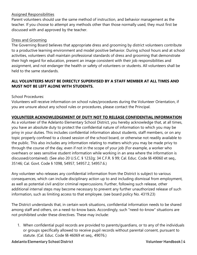#### Assigned Responsibilities

Parent volunteers should use the same method of instruction, and behavior management as the teacher. If you choose to attempt any methods other than those normally used, they must first be discussed with and approved by the teacher.

#### Dress and Grooming

The Governing Board believes that appropriate dress and grooming by district volunteers contribute to a productive learning environment and model positive behavior. During school hours and at school activities, volunteers shall maintain professional standards of dress and grooming that demonstrate their high regard for education, present an image consistent with their job responsibilities and assignment, and not endanger the health or safety of volunteers or students. All volunteers shall be held to the same standards.

### **ALL VOLUNTEERS MUST BE DIRECTLY SUPERVISED BY A STAFF MEMBER AT ALL TIMES AND MUST NOT BE LEFT ALONE WITH STUDENTS.**

School Procedures:

Volunteers will receive information on school rules/procedures during the Volunteer Orientation, if you are unsure about any school rules or procedures, please contact the Principal.

#### **VOLUNTEER ACKNOWLEDGEMENT OF DUTY NOT TO RELEASE CONFIDENTIAL INFORMATION**

As a volunteer of the Adelanto Elementary School District, you hereby acknowledge that, at all times, you have an absolute duty to protect the confidential nature of information to which you may be privy in your duties. This includes confidential information about students, staff members, or on any topic properly confined to a closed session of the school board, or otherwise not readily available to the public. This also includes any information relating to matters which you may be made privy to through the course of the day, even if not in the scope of your job (For example, a worker who overhears or sees sensitive student information while working in an area where the information is discussed/contained). (See also 20 U.S.C. § 1232g; 34 C.F.R. § 99; Cal. Educ. Code §§ 49060 et seq., 35146; Cal. Govt. Code § 1098, 54957, 54957.2, 54957.6.)

Any volunteer who releases any confidential information from the District is subject to various consequences, which can include disciplinary action up to and including dismissal from employment, as well as potential civil and/or criminal repercussions. Further, following such release, other additional internal steps may become necessary to prevent any further unauthorized release of such information, such as limiting access to that employee. (see board policy No. 4319.23)

The District understands that, in certain work situations, confidential information needs to be shared among staff and others, on a need-to-know basis. Accordingly, such "need-to-know" situations are not prohibited under these directives. These may include:

1. When confidential pupil records are provided to parents/guardians, or to any of the individuals or groups specifically allowed to receive pupil records without parental consent, pursuant to statute. (Cal. Educ. Code §§ 46069 et seq., 49076.)

Adelanto Elementary School District Volunteer Handbook | 4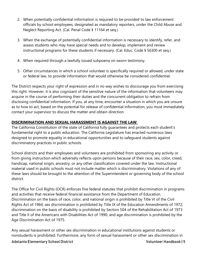- 2. When potentially confidential information is required to be provided to law enforcement officials by school employees, designated as mandatory reporters, under the Child Abuse and Neglect Reporting Act. (Cal. Penal Code § 11164 et seq.)
- 3. When the exchange of potentially confidential information is necessary to identify, refer, and assess students who may have special needs and to develop, implement and review instructional programs for these students if necessary. (Cal. Educ. Code § 56300 et seq.)
- 4. When required through a lawfully issued subpoena on sworn testimony.
- 5. Other circumstances in which a school volunteer is specifically required or allowed, under state or federal law, to provide information that would otherwise be considered confidential.

The District respects your right of expression and in no way wishes to discourage you from exercising this right. However, it is also cognizant of the sensitive nature of the information that volunteers may acquire in the course of performing their duties and the concurrent obligation to refrain from disclosing confidential information. If you, at any time, encounter a situation in which you are unsure as to how to act, based on the potential for release of confidential information, you must immediately contact your supervisor to discuss the matter and obtain direction.

## **DISCRIMINATION AND SEXUAL HARASSMENT IS AGAINST THE LAW**

The California Constitution of the state of California fully guarantees and protects each student's fundamental right to a public education. The California Legislature has enacted numerous laws designed to promote equality in educational opportunities and to safeguard students against discriminatory practices in public schools.

School districts and their employees and volunteers are prohibited from sponsoring any activity or from giving instruction which adversely reflects upon persons because of their race, sex, color, creed, handicap, national origin, ancestry, or any other classification covered under the law. Instructional material used in public schools must not include matter which is discriminatory. Violations of any of these laws should be brought to the attention of the Superintendent or governing body of the school district.

The Office for Civil Rights (OCR) enforces five federal statutes that prohibit discrimination in programs and activities that receive federal financial assistance from the Department of Education. Discrimination on the basis of race, color, and national origin is prohibited by Title VI of the Civil Rights Act of 1964; sex discrimination is prohibited by Title IX of the Education Amendments of 1972; discrimination on the basis of disability is prohibited by Section 504 of the Rehabilitation Act of 1973 and Title II of the Americans with Disabilities Act of 1990; and age discrimination is prohibited by the Age Discrimination Act of 1975.

Any sexual harassment or other sex discrimination in educational institutions against students or nonstudents is prohibited. Furthermore, any form of sexual harassment or other sex discrimination in

Adelanto Elementary School District **Volunteer Handbook** | 5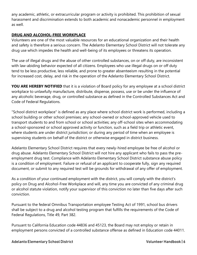any academic, athletic, or extracurricular program or activity is prohibited. This prohibition of sexual harassment and discrimination extends to both academic and nonacademic personnel in employment as well.

#### **DRUG AND ALCOHOL-FREE WORKPLACE**

Volunteers are one of the most valuable resources for an educational organization and their health and safety is therefore a serious concern. The Adelanto Elementary School District will not tolerate any drug use which impedes the health and well-being of its employees or threatens its operation.

The use of illegal drugs and the abuse of other controlled substances, on or off duty, are inconsistent with law-abiding behavior expected of all citizens. Employees who use illegal drugs on or off duty tend to be less productive, less reliable, and prone to greater absenteeism resulting in the potential for increased cost, delay, and risk in the operation of the Adelanto Elementary School District.

**YOU ARE HEREBY NOTIFIED** that it is a violation of Board policy for any employee at a school district workplace to unlawfully manufacture, distribute, dispense, possess, use or be under the influence of any alcoholic beverage, drug, or controlled substance as defined in the Controlled Substances Act and Code of Federal Regulations.

"School district workplace" is defined as any place where school district work is performed, including a school building or other school premises; any school-owned or school-approved vehicle used to transport students to and from school or school activities; any off-school sites when accommodating a school-sponsored or school approved activity or function, such as a field trip or athletic event, where students are under district jurisdiction; or during any period of time when an employee is supervising students on behalf of the district or otherwise engaged in district business.

Adelanto Elementary School District requires that every newly-hired employee be free of alcohol or drug abuse. Adelanto Elementary School District will not hire any applicant who fails to pass the preemployment drug test. Compliance with Adelanto Elementary School District substance abuse policy is a condition of employment. Failure or refusal of an applicant to cooperate fully, sign any required document, or submit to any required test will be grounds for withdrawal of any offer of employment.

As a condition of your continued employment with the district, you will comply with the district's policy on Drug and Alcohol-Free Workplace and will, any time you are convicted of any criminal drug or alcohol statute violation, notify your supervisor of this conviction no later than five days after such conviction.

Pursuant to the federal Omnibus Transportation employee Testing Act of 1991, school bus drivers shall be subject to a drug and alcohol testing program that fulfills the requirements of the Code of Federal Regulations, Title 49, Part 382.

Pursuant to California Education code 44836 and 45123, the Board may not employ or retain in employment persons convicted of a controlled substance offense as defined in Education code 44011.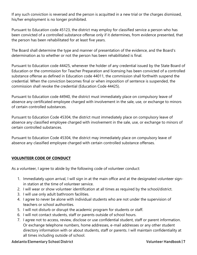If any such conviction is reversed and the person is acquitted in a new trial or the charges dismissed, his/her employment is no longer prohibited.

Pursuant to Education code 45123, the district may employ for classified service a person who has been convicted of a controlled substance offense only if it determines, from evidence presented, that the person has been rehabilitated for at least five years.

The Board shall determine the type and manner of presentation of the evidence, and the Board's determination as to whether or not the person has been rehabilitated is final.

Pursuant to Education code 44425, whenever the holder of any credential issued by the State Board of Education or the commission for Teacher Preparation and licensing has been convicted of a controlled substance offense as defined in Education code 44011, the commission shall forthwith suspend the credential. When the conviction becomes final or when imposition of sentence is suspended, the commission shall revoke the credential (Education Code 44425).

Pursuant to Education code 44940, the district must immediately place on compulsory leave of absence any certificated employee charged with involvement in the sale, use, or exchange to minors of certain controlled substances.

Pursuant to Education Code 45304, the district must immediately place on compulsory leave of absence any classified employee charged with involvement in the sale, use, or exchange to minors of certain controlled substances.

Pursuant to Education Code 45304, the district may immediately place on compulsory leave of absence any classified employee charged with certain controlled substance offenses.

## **VOLUNTEER CODE OF CONDUCT**

As a volunteer, I agree to abide by the following code of volunteer conduct:

- 1. Immediately upon arrival, I will sign in at the main office and at the designated volunteer signin station at the time of volunteer service.
- 2. I will wear or show volunteer identification at all times as required by the school/district.
- 3. I will use only adult bathroom facilities.
- 4. I agree to never be alone with individual students who are not under the supervision of teachers or school authorities.
- 5. I will not disturb or disrupt the academic program for students or staff.
- 6. I will not contact students, staff or parents outside of school hours.
- 7. I agree not to access, review, disclose or use confidential student, staff or parent information. Or exchange telephone numbers, home addresses, e-mail addresses or any other student directory information with or about students, staff or parents. I will maintain confidentiality at all times including outside of school.

Adelanto Elementary School District **Volunteer Handbook** | 7